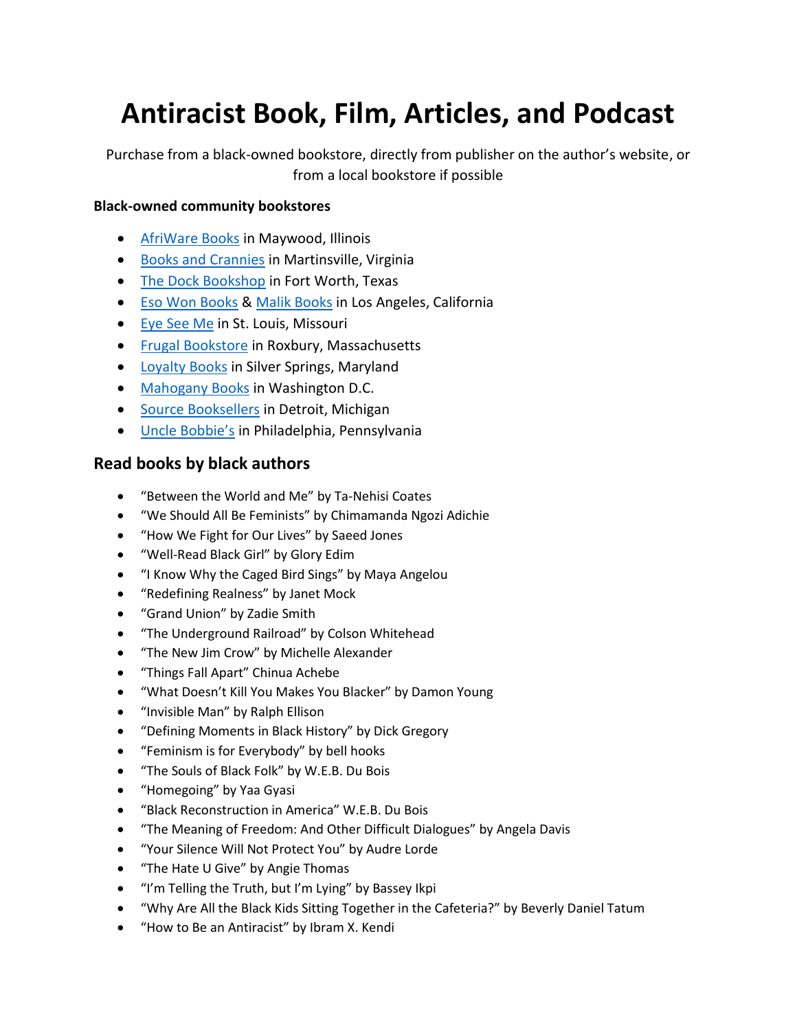# **Antiracist Book, Film, Articles, and Podcast**

Purchase from a black-owned bookstore, directly from publisher on the author's website, or from a local bookstore if possible

### **Black-owned community bookstores**

- [AfriWare Books](https://www.afriwarebooks.com/store/c1/Featured_Products.html) in Maywood, Illinois
- [Books and Crannies](https://www.booksandcranniesva.com/) in Martinsville, Virginia
- [The Dock Bookshop](https://www.thedockbookshop.com/) in Fort Worth, Texas
- [Eso Won Books](https://www.esowonbookstore.com/) & [Malik Books](https://malikbooks.com/) in Los Angeles, California
- **[Eye See Me](https://www.eyeseeme.com/) in St. Louis, Missouri**
- **•** [Frugal Bookstore](https://frugalbookstore.net/) in Roxbury, Massachusetts
- [Loyalty Books](https://www.loyaltybookstores.com/) in Silver Springs, Maryland
- [Mahogany Books](https://www.mahoganybooks.com/) in Washington D.C.
- **•** [Source Booksellers](http://www.sourcebooksellers.com/) in Detroit, Michigan
- [Uncle Bobbie's](https://www.unclebobbies.com/) in Philadelphia, Pennsylvania

## **Read books by black authors**

- "Between the World and Me" by Ta-Nehisi Coates
- "We Should All Be Feminists" by Chimamanda Ngozi Adichie
- "How We Fight for Our Lives" by Saeed Jones
- "Well-Read Black Girl" by Glory Edim
- "I Know Why the Caged Bird Sings" by Maya Angelou
- "Redefining Realness" by Janet Mock
- "Grand Union" by Zadie Smith
- "The Underground Railroad" by Colson Whitehead
- "The New Jim Crow" by Michelle Alexander
- "Things Fall Apart" Chinua Achebe
- "What Doesn't Kill You Makes You Blacker" by Damon Young
- "Invisible Man" by Ralph Ellison
- "Defining Moments in Black History" by Dick Gregory
- "Feminism is for Everybody" by bell hooks
- "The Souls of Black Folk" by W.E.B. Du Bois
- "Homegoing" by Yaa Gyasi
- "Black Reconstruction in America" W.E.B. Du Bois
- "The Meaning of Freedom: And Other Difficult Dialogues" by Angela Davis
- "Your Silence Will Not Protect You" by Audre Lorde
- "The Hate U Give" by Angie Thomas
- "I'm Telling the Truth, but I'm Lying" by Bassey Ikpi
- "Why Are All the Black Kids Sitting Together in the Cafeteria?" by Beverly Daniel Tatum
- "How to Be an Antiracist" by Ibram X. Kendi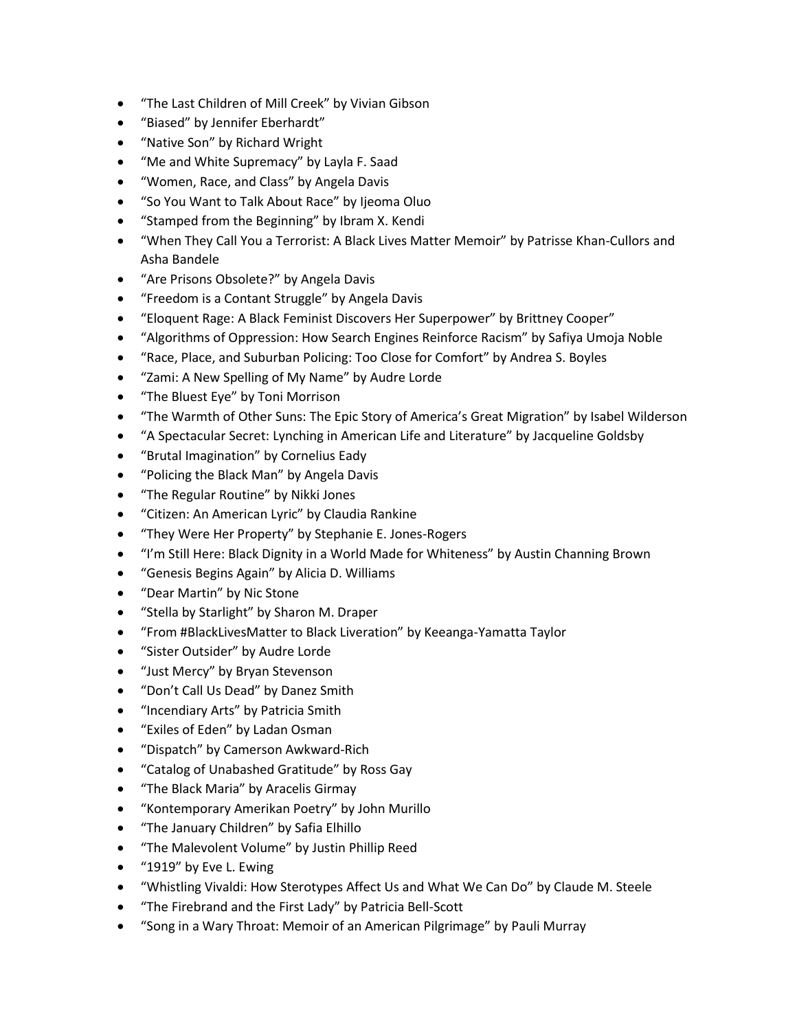- "The Last Children of Mill Creek" by Vivian Gibson
- "Biased" by Jennifer Eberhardt"
- "Native Son" by Richard Wright
- "Me and White Supremacy" by Layla F. Saad
- "Women, Race, and Class" by Angela Davis
- "So You Want to Talk About Race" by Ijeoma Oluo
- "Stamped from the Beginning" by Ibram X. Kendi
- "When They Call You a Terrorist: A Black Lives Matter Memoir" by Patrisse Khan-Cullors and Asha Bandele
- "Are Prisons Obsolete?" by Angela Davis
- "Freedom is a Contant Struggle" by Angela Davis
- "Eloquent Rage: A Black Feminist Discovers Her Superpower" by Brittney Cooper"
- "Algorithms of Oppression: How Search Engines Reinforce Racism" by Safiya Umoja Noble
- "Race, Place, and Suburban Policing: Too Close for Comfort" by Andrea S. Boyles
- "Zami: A New Spelling of My Name" by Audre Lorde
- "The Bluest Eye" by Toni Morrison
- "The Warmth of Other Suns: The Epic Story of America's Great Migration" by Isabel Wilderson
- "A Spectacular Secret: Lynching in American Life and Literature" by Jacqueline Goldsby
- "Brutal Imagination" by Cornelius Eady
- "Policing the Black Man" by Angela Davis
- "The Regular Routine" by Nikki Jones
- "Citizen: An American Lyric" by Claudia Rankine
- "They Were Her Property" by Stephanie E. Jones-Rogers
- "I'm Still Here: Black Dignity in a World Made for Whiteness" by Austin Channing Brown
- "Genesis Begins Again" by Alicia D. Williams
- "Dear Martin" by Nic Stone
- "Stella by Starlight" by Sharon M. Draper
- "From #BlackLivesMatter to Black Liveration" by Keeanga-Yamatta Taylor
- "Sister Outsider" by Audre Lorde
- "Just Mercy" by Bryan Stevenson
- "Don't Call Us Dead" by Danez Smith
- "Incendiary Arts" by Patricia Smith
- "Exiles of Eden" by Ladan Osman
- "Dispatch" by Camerson Awkward-Rich
- "Catalog of Unabashed Gratitude" by Ross Gay
- "The Black Maria" by Aracelis Girmay
- "Kontemporary Amerikan Poetry" by John Murillo
- "The January Children" by Safia Elhillo
- "The Malevolent Volume" by Justin Phillip Reed
- "1919" by Eve L. Ewing
- "Whistling Vivaldi: How Sterotypes Affect Us and What We Can Do" by Claude M. Steele
- "The Firebrand and the First Lady" by Patricia Bell-Scott
- "Song in a Wary Throat: Memoir of an American Pilgrimage" by Pauli Murray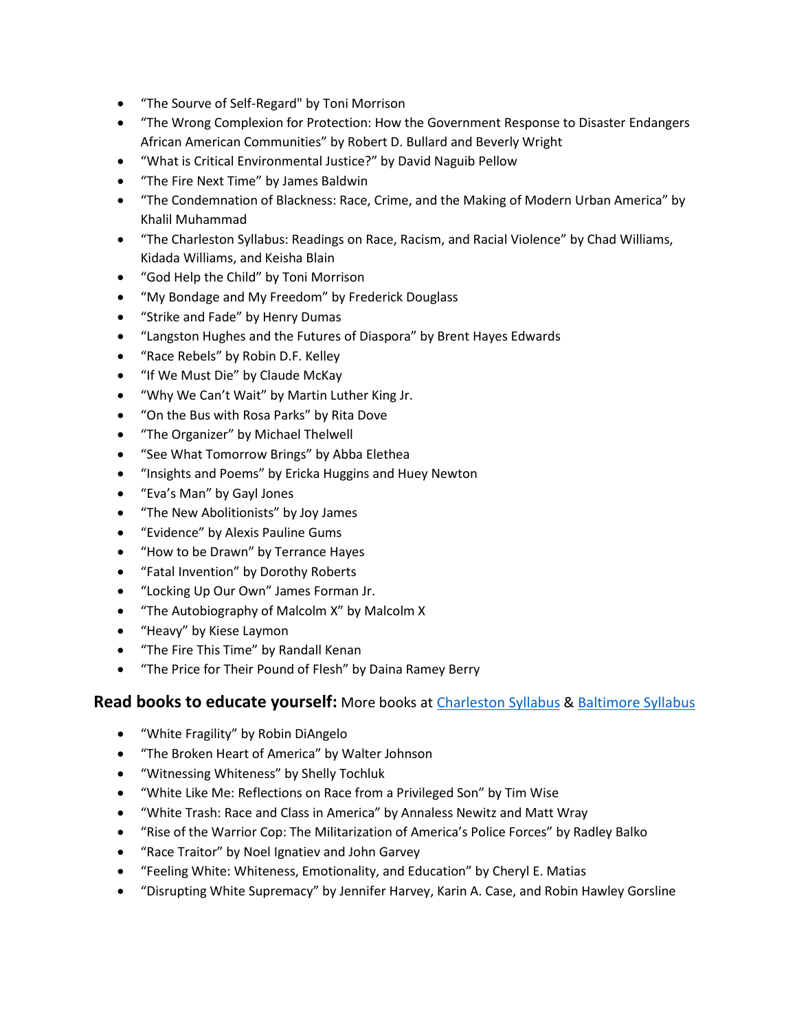- "The Sourve of Self-Regard" by Toni Morrison
- "The Wrong Complexion for Protection: How the Government Response to Disaster Endangers African American Communities" by Robert D. Bullard and Beverly Wright
- "What is Critical Environmental Justice?" by David Naguib Pellow
- "The Fire Next Time" by James Baldwin
- "The Condemnation of Blackness: Race, Crime, and the Making of Modern Urban America" by Khalil Muhammad
- "The Charleston Syllabus: Readings on Race, Racism, and Racial Violence" by Chad Williams, Kidada Williams, and Keisha Blain
- "God Help the Child" by Toni Morrison
- "My Bondage and My Freedom" by Frederick Douglass
- "Strike and Fade" by Henry Dumas
- "Langston Hughes and the Futures of Diaspora" by Brent Hayes Edwards
- "Race Rebels" by Robin D.F. Kelley
- "If We Must Die" by Claude McKay
- "Why We Can't Wait" by Martin Luther King Jr.
- "On the Bus with Rosa Parks" by Rita Dove
- "The Organizer" by Michael Thelwell
- "See What Tomorrow Brings" by Abba Elethea
- "Insights and Poems" by Ericka Huggins and Huey Newton
- "Eva's Man" by Gayl Jones
- "The New Abolitionists" by Joy James
- "Evidence" by Alexis Pauline Gums
- "How to be Drawn" by Terrance Hayes
- "Fatal Invention" by Dorothy Roberts
- "Locking Up Our Own" James Forman Jr.
- "The Autobiography of Malcolm X" by Malcolm X
- "Heavy" by Kiese Laymon
- "The Fire This Time" by Randall Kenan
- "The Price for Their Pound of Flesh" by Daina Ramey Berry

## **Read books to educate yourself:** More books at [Charleston Syllabus](https://www.aaihs.org/resources/charlestonsyllabus/) & [Baltimore Syllabus](https://docs.google.com/document/d/1B_oyOyu_tAwOVq5MY1oJL3orN6ps04O82JxWxnkGpho/edit)

- "White Fragility" by Robin DiAngelo
- "The Broken Heart of America" by Walter Johnson
- "Witnessing Whiteness" by Shelly Tochluk
- "White Like Me: Reflections on Race from a Privileged Son" by Tim Wise
- "White Trash: Race and Class in America" by Annaless Newitz and Matt Wray
- "Rise of the Warrior Cop: The Militarization of America's Police Forces" by Radley Balko
- "Race Traitor" by Noel Ignatiev and John Garvey
- "Feeling White: Whiteness, Emotionality, and Education" by Cheryl E. Matias
- "Disrupting White Supremacy" by Jennifer Harvey, Karin A. Case, and Robin Hawley Gorsline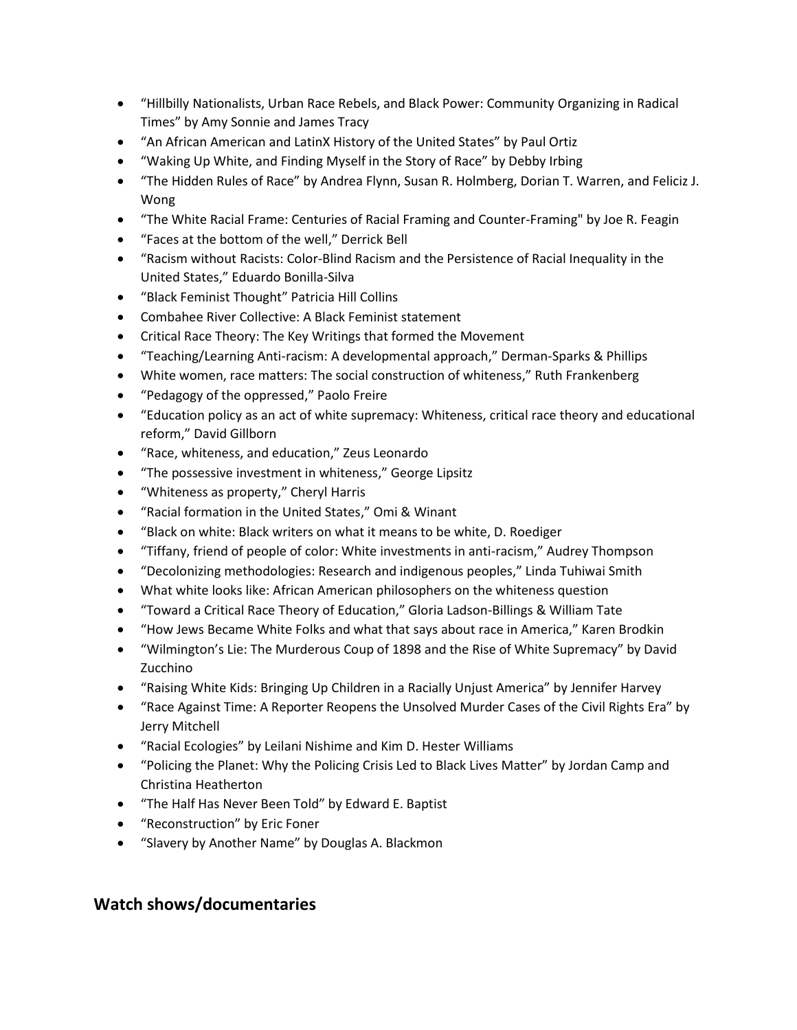- "Hillbilly Nationalists, Urban Race Rebels, and Black Power: Community Organizing in Radical Times" by Amy Sonnie and James Tracy
- "An African American and LatinX History of the United States" by Paul Ortiz
- "Waking Up White, and Finding Myself in the Story of Race" by Debby Irbing
- "The Hidden Rules of Race" by Andrea Flynn, Susan R. Holmberg, Dorian T. Warren, and Feliciz J. Wong
- "The White Racial Frame: Centuries of Racial Framing and Counter-Framing" by Joe R. Feagin
- "Faces at the bottom of the well," Derrick Bell
- "Racism without Racists: Color-Blind Racism and the Persistence of Racial Inequality in the United States," Eduardo Bonilla-Silva
- "Black Feminist Thought" Patricia Hill Collins
- Combahee River Collective: A Black Feminist statement
- Critical Race Theory: The Key Writings that formed the Movement
- "Teaching/Learning Anti-racism: A developmental approach," Derman-Sparks & Phillips
- White women, race matters: The social construction of whiteness," Ruth Frankenberg
- "Pedagogy of the oppressed," Paolo Freire
- "Education policy as an act of white supremacy: Whiteness, critical race theory and educational reform," David Gillborn
- "Race, whiteness, and education," Zeus Leonardo
- "The possessive investment in whiteness," George Lipsitz
- "Whiteness as property," Cheryl Harris
- "Racial formation in the United States," Omi & Winant
- "Black on white: Black writers on what it means to be white, D. Roediger
- "Tiffany, friend of people of color: White investments in anti-racism," Audrey Thompson
- "Decolonizing methodologies: Research and indigenous peoples," Linda Tuhiwai Smith
- What white looks like: African American philosophers on the whiteness question
- "Toward a Critical Race Theory of Education," Gloria Ladson-Billings & William Tate
- "How Jews Became White Folks and what that says about race in America," Karen Brodkin
- "Wilmington's Lie: The Murderous Coup of 1898 and the Rise of White Supremacy" by David Zucchino
- "Raising White Kids: Bringing Up Children in a Racially Unjust America" by Jennifer Harvey
- "Race Against Time: A Reporter Reopens the Unsolved Murder Cases of the Civil Rights Era" by Jerry Mitchell
- "Racial Ecologies" by Leilani Nishime and Kim D. Hester Williams
- "Policing the Planet: Why the Policing Crisis Led to Black Lives Matter" by Jordan Camp and Christina Heatherton
- "The Half Has Never Been Told" by Edward E. Baptist
- "Reconstruction" by Eric Foner
- "Slavery by Another Name" by Douglas A. Blackmon

# **Watch shows/documentaries**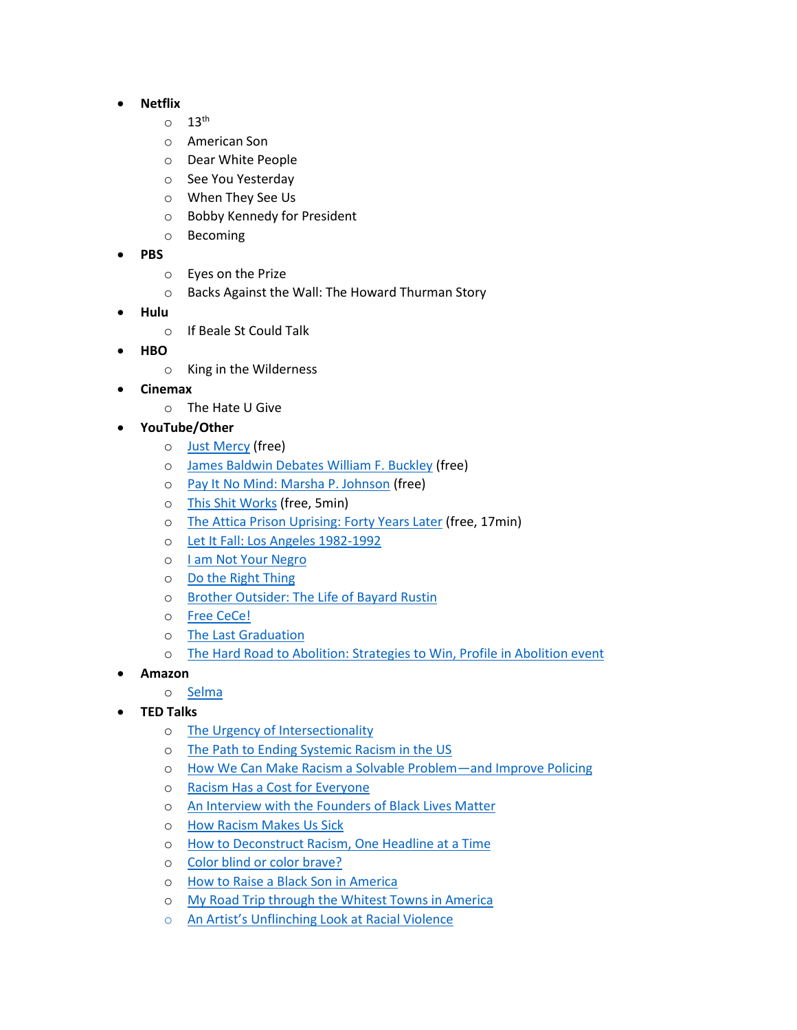#### **Netflix**

- $\circ$  13<sup>th</sup>
- o American Son
- o Dear White People
- o See You Yesterday
- o When They See Us
- o Bobby Kennedy for President
- o Becoming
- **PBS**
	- o Eyes on the Prize
	- o Backs Against the Wall: The Howard Thurman Story
- **Hulu**
	- o If Beale St Could Talk
- **HBO**
	- o King in the Wilderness
- **Cinemax**
	- o The Hate U Give
- **YouTube/Other**
	- o [Just Mercy](https://www.youtube.com/watch?v=GVQbeG5yW78&t=66s) (free)
	- o [James Baldwin Debates William F. Buckley](https://www.youtube.com/watch?v=oFeoS41xe7w) (free)
	- o [Pay It No Mind: Marsha P. Johnson](https://www.youtube.com/watch?v=rjN9W2KstqE) (free)
	- o [This Shit Works](https://www.youtube.com/watch?v=mUyc5EAAWEY&ab_channel=FUSION) (free, 5min)
	- o [The Attica Prison Uprising: Forty Years Later](https://www.youtube.com/watch?v=cBG1UkxrMG0&has_verified=1) (free, 17min)
	- o [Let It Fall: Los Angeles 1982-1992](https://www.youtube.com/watch?v=6JGY-GjzKp4)
	- o I [am Not Your Negro](https://www.youtube.com/watch?v=rNUYdgIyaPM)
	- o [Do the Right Thing](https://www.youtube.com/watch?v=KVQHkq3Tk7E)
	- o [Brother Outsider: The Life of Bayard Rustin](http://rustin.org/)
	- o [Free CeCe!](https://vimeo.com/ondemand/freecece)
	- o [The Last Graduation](https://www.kanopy.com/product/last-graduation)
	- o [The Hard Road to Abolition: Strategies to Win, Profile in Abolition event](https://vimeo.com/196237369)
- **Amazon**
	- o [Selma](https://www.amazon.com/Selma-David-Oyelowo/dp/B00S0X4HK8/ref=sr_1_1?keywords=Selma+movie&qid=1548028413&s=Prime+Video&sr=1-1)
- **TED Talks**
	- o [The Urgency of Intersectionality](https://www.ted.com/talks/kimberle_crenshaw_the_urgency_of_intersectionality)
	- o [The Path to Ending Systemic Racism in the US](https://www.ted.com/talks/dr_phillip_atiba_goff_rashad_robinson_dr_bernice_king_anthony_d_romero_the_path_to_ending_systemic_racism_in_the_us?referrer=playlist-talks_to_help_you_understand_r)
	- o [How We Can Make Racism a Solvable Problem](https://www.ted.com/talks/phillip_atiba_goff_how_we_can_make_racism_a_solvable_problem_and_improve_policing?referrer=playlist-talks_to_help_you_understand_r)—and Improve Policing
	- o [Racism Has a Cost for Everyone](https://www.ted.com/talks/heather_c_mcghee_racism_has_a_cost_for_everyone?referrer=playlist-talks_to_help_you_understand_r)
	- o [An Interview with the Founders of Black Lives Matter](https://www.ted.com/talks/alicia_garza_patrisse_cullors_and_opal_tometi_an_interview_with_the_founders_of_black_lives_matter?referrer=playlist-talks_to_help_you_understand_r)
	- o [How Racism Makes Us Sick](https://www.ted.com/talks/david_r_williams_how_racism_makes_us_sick?referrer=playlist-talks_to_help_you_understand_r)
	- o [How to Deconstruct Racism, One Headline at a Time](https://www.ted.com/talks/baratunde_thurston_how_to_deconstruct_racism_one_headline_at_a_time?referrer=playlist-talks_to_help_you_understand_r)
	- o [Color blind or color brave?](https://www.ted.com/talks/mellody_hobson_color_blind_or_color_brave?referrer=playlist-talks_to_help_you_understand_r)
	- o [How to Raise a Black Son in America](https://www.ted.com/talks/clint_smith_how_to_raise_a_black_son_in_america?referrer=playlist-talks_to_help_you_understand_r)
	- o [My Road Trip through the Whitest Towns in America](https://www.ted.com/talks/rich_benjamin_my_road_trip_through_the_whitest_towns_in_america?referrer=playlist-talks_to_help_you_understand_r)
	- o [An Artist's Unflinching Look at Racial Violence](https://www.ted.com/talks/sanford_biggers_an_artist_s_unflinching_look_at_racial_violence?referrer=playlist-talks_to_help_you_understand_r)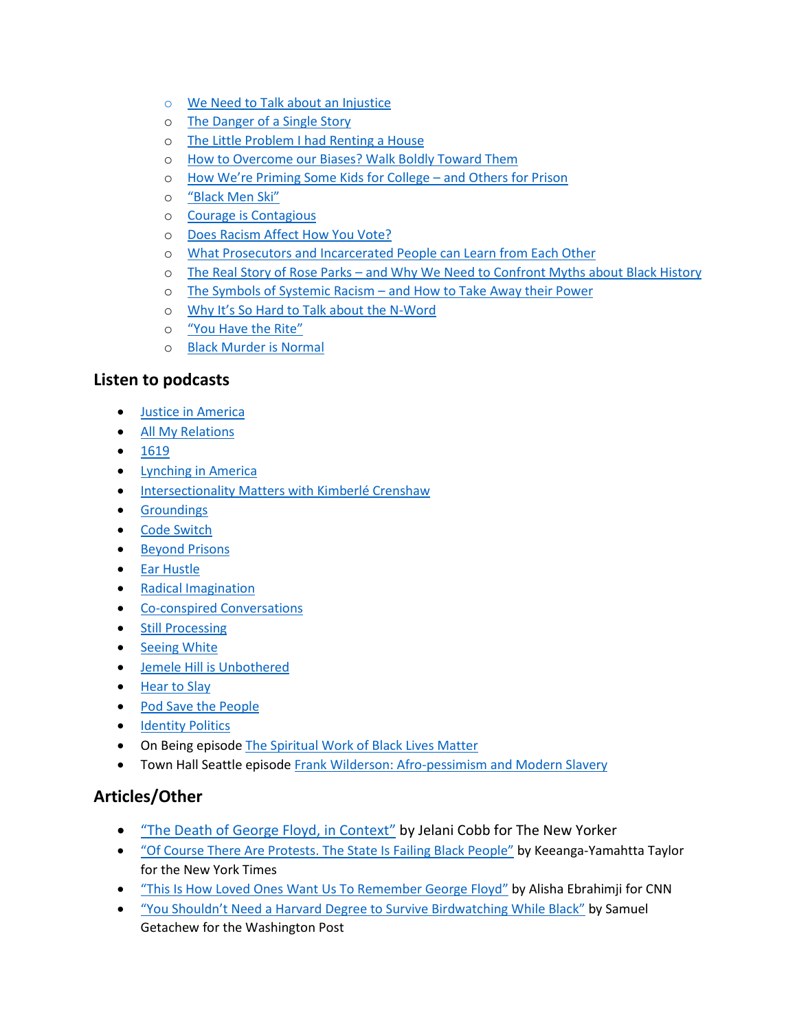- o [We Need to Talk about an Injustice](https://www.ted.com/talks/bryan_stevenson_we_need_to_talk_about_an_injustice?referrer=playlist-talks_to_help_you_understand_r)
- o [The Danger of a Single Story](https://www.ted.com/talks/chimamanda_ngozi_adichie_the_danger_of_a_single_story?referrer=playlist-talks_to_help_you_understand_r)
- o [The Little Problem I had Renting a House](https://www.ted.com/talks/james_a_white_sr_the_little_problem_i_had_renting_a_house?referrer=playlist-talks_to_help_you_understand_r)
- o [How to Overcome our Biases? Walk Boldly Toward Them](https://www.ted.com/talks/verna_myers_how_to_overcome_our_biases_walk_boldly_toward_them?referrer=playlist-talks_to_help_you_understand_r)
- o [How We're Priming Some Kids for College –](https://www.ted.com/talks/alice_goffman_how_we_re_priming_some_kids_for_college_and_others_for_prison?referrer=playlist-talks_to_help_you_understand_r) and Others for Prison
- o ["Black Men Ski"](https://www.ted.com/talks/stew_black_men_ski?referrer=playlist-talks_to_help_you_understand_r)
- o [Courage is Contagious](https://www.ted.com/talks/damon_davis_courage_is_contagious?referrer=playlist-talks_to_help_you_understand_r)
- o [Does Racism Affect How You Vote?](https://www.ted.com/talks/nate_silver_does_racism_affect_how_you_vote?referrer=playlist-talks_to_help_you_understand_r)
- o [What Prosecutors and Incarcerated People can Learn from Each Other](https://www.ted.com/talks/jarrell_daniels_what_prosecutors_and_incarcerated_people_can_learn_from_each_other?referrer=playlist-talks_to_help_you_understand_r)
- o The Real Story of Rose Parks [and Why We Need to Confront Myths about Black History](https://www.ted.com/talks/david_ikard_the_real_story_of_rosa_parks_and_why_we_need_to_confront_myths_about_black_history?referrer=playlist-talks_to_help_you_understand_r)
- o The Symbols of Systemic Racism [and How to Take Away their Power](https://www.ted.com/talks/paul_rucker_the_symbols_of_systemic_racism_and_how_to_take_away_their_power?referrer=playlist-talks_to_help_you_understand_r)
- o [Why It's So Hard to Talk about the N](https://www.ted.com/talks/elizabeth_stordeur_pryor_why_it_s_so_hard_to_talk_about_the_n_word?referrer=playlist-talks_to_help_you_understand_r)-Word
- o ["You Have the Rite"](https://www.ted.com/talks/marc_bamuthi_joseph_you_have_the_rite?referrer=playlist-talks_to_help_you_understand_r)
- o [Black Murder is Normal](https://www.youtube.com/watch?v=1DxHL2i3cZo)

## **Listen to podcasts**

- [Justice in America](https://theappeal.org/announcing-season-3-of-justice-in-america/)
- [All My Relations](https://www.allmyrelationspodcast.com/)
- $1619$  $1619$
- [Lynching in America](https://lynchinginamerica.eji.org/listen)
- **[Intersectionality Matters with Kimberlé Crenshaw](https://aapf.org/podcast)**
- **•** [Groundings](https://groundings.simplecast.com/)
- [Code Switch](https://www.npr.org/podcasts/510312/codeswitch)
- [Beyond Prisons](https://shadowproof.com/beyond-prisons/)
- **•** [Ear Hustle](https://www.earhustlesq.com/)
- [Radical Imagination](https://radicalimagination.us/)
- [Co-conspired Conversations](https://www.listennotes.com/podcasts/co-conspired-conversations-myisha-t-ichxyHpdT2b/)
- [Still Processing](https://podcasts.apple.com/us/podcast/still-processing/id1151436460)
- [Seeing White](https://www.sceneonradio.org/seeing-white/)
- [Jemele Hill is Unbothered](https://newsroom.spotify.com/2019-01-08/jemele-hill-is-unbothered-in-her-new-spotify-podcast/)
- [Hear to Slay](https://www.heartoslay.com/)
- [Pod Save the People](https://podcasts.apple.com/us/podcast/pod-save-the-people/id1230148653)
- **•** [Identity Politics](http://identitypoliticspod.com/)
- On Being episod[e The Spiritual Work of Black Lives Matter](https://onbeing.org/programs/patrisse-cullors-and-robert-ross-the-spiritual-work-of-black-lives-matter-may2017/)
- Town Hall Seattle episode [Frank Wilderson: Afro-pessimism and Modern Slavery](https://www.youtube.com/watch?v=05A0I251I8E)

## **Articles/Other**

- "[The Death of George Floyd, in Context](https://www.newyorker.com/news/daily-comment/the-death-of-george-floyd-in-context)" by Jelani Cobb for The New Yorker
- "[Of Course There Are Protests. The State Is Failing Black People](https://www.nytimes.com/2020/05/29/opinion/george-floyd-minneapolis.html?action=click&module=Opinion&pgtype=Homepage)" by Keeanga-Yamahtta Taylor for the New York Times
- "[This Is How Loved Ones Want Us To Remember George Floyd](https://www.cnn.com/2020/05/27/us/george-floyd-trnd/index.html)" by Alisha Ebrahimji for CNN
- ["You Shouldn't Need a Harvard Degree to Survive Birdwatching While Black"](https://www.washingtonpost.com/outlook/2020/05/28/christian-cooper-harvard-birdwatching/) by Samuel Getachew for the Washington Post